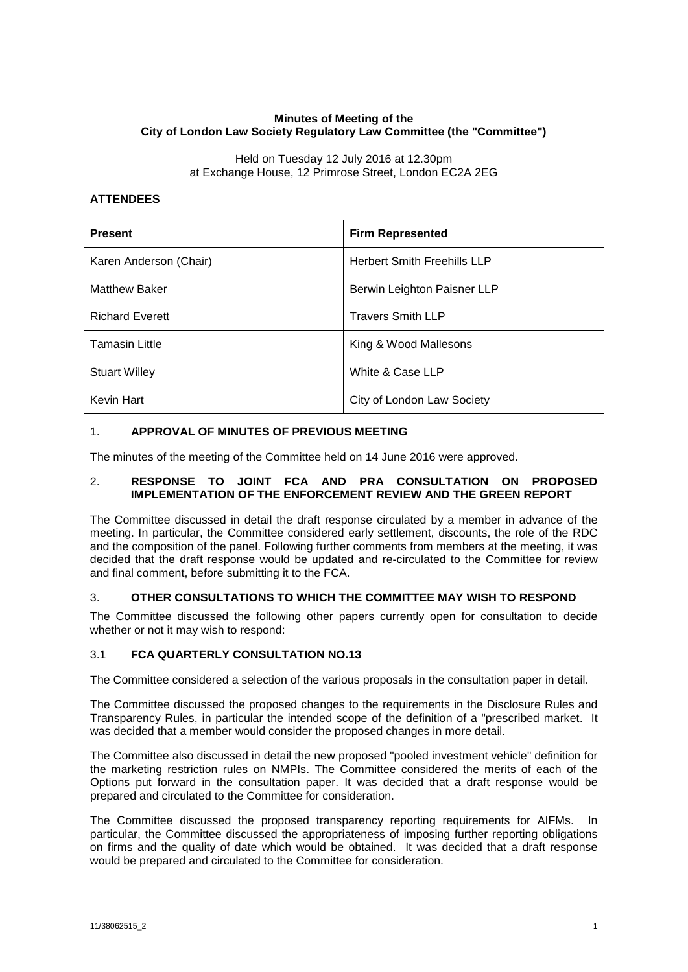### **Minutes of Meeting of the City of London Law Society Regulatory Law Committee (the "Committee")**

Held on Tuesday 12 July 2016 at 12.30pm at Exchange House, 12 Primrose Street, London EC2A 2EG

# **ATTENDEES**

| <b>Present</b>         | <b>Firm Represented</b>            |
|------------------------|------------------------------------|
| Karen Anderson (Chair) | <b>Herbert Smith Freehills LLP</b> |
| <b>Matthew Baker</b>   | Berwin Leighton Paisner LLP        |
| <b>Richard Everett</b> | <b>Travers Smith LLP</b>           |
| <b>Tamasin Little</b>  | King & Wood Mallesons              |
| <b>Stuart Willey</b>   | White & Case LLP                   |
| Kevin Hart             | City of London Law Society         |

# 1. **APPROVAL OF MINUTES OF PREVIOUS MEETING**

The minutes of the meeting of the Committee held on 14 June 2016 were approved.

#### 2. **RESPONSE TO JOINT FCA AND PRA CONSULTATION ON PROPOSED IMPLEMENTATION OF THE ENFORCEMENT REVIEW AND THE GREEN REPORT**

The Committee discussed in detail the draft response circulated by a member in advance of the meeting. In particular, the Committee considered early settlement, discounts, the role of the RDC and the composition of the panel. Following further comments from members at the meeting, it was decided that the draft response would be updated and re-circulated to the Committee for review and final comment, before submitting it to the FCA.

# 3. **OTHER CONSULTATIONS TO WHICH THE COMMITTEE MAY WISH TO RESPOND**

The Committee discussed the following other papers currently open for consultation to decide whether or not it may wish to respond:

# 3.1 **FCA QUARTERLY CONSULTATION NO.13**

The Committee considered a selection of the various proposals in the consultation paper in detail.

The Committee discussed the proposed changes to the requirements in the Disclosure Rules and Transparency Rules, in particular the intended scope of the definition of a "prescribed market. It was decided that a member would consider the proposed changes in more detail.

The Committee also discussed in detail the new proposed "pooled investment vehicle" definition for the marketing restriction rules on NMPIs. The Committee considered the merits of each of the Options put forward in the consultation paper. It was decided that a draft response would be prepared and circulated to the Committee for consideration.

The Committee discussed the proposed transparency reporting requirements for AIFMs. In particular, the Committee discussed the appropriateness of imposing further reporting obligations on firms and the quality of date which would be obtained. It was decided that a draft response would be prepared and circulated to the Committee for consideration.